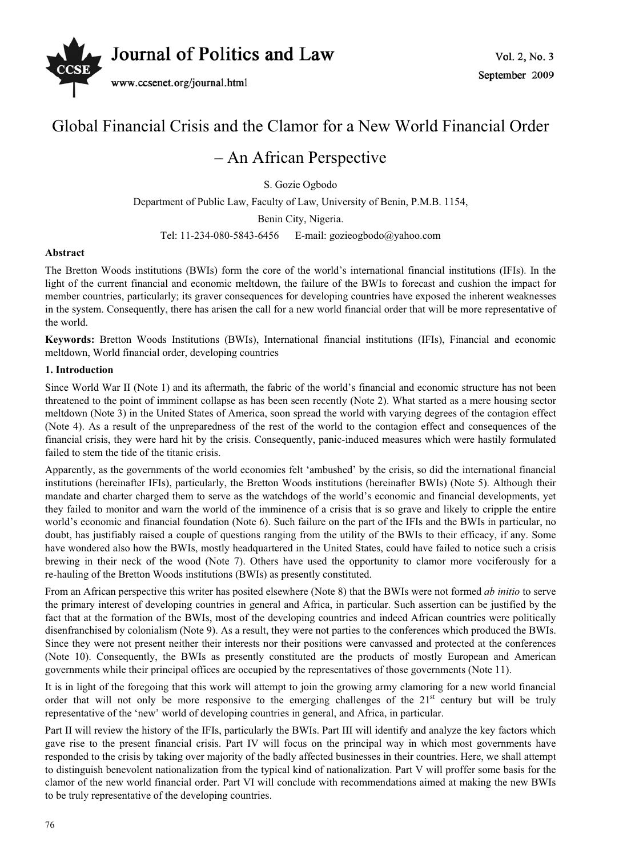

# Global Financial Crisis and the Clamor for a New World Financial Order

# – An African Perspective

S. Gozie Ogbodo

Department of Public Law, Faculty of Law, University of Benin, P.M.B. 1154,

Benin City, Nigeria.

Tel: 11-234-080-5843-6456 E-mail: gozieogbodo@yahoo.com

#### **Abstract**

The Bretton Woods institutions (BWIs) form the core of the world's international financial institutions (IFIs). In the light of the current financial and economic meltdown, the failure of the BWIs to forecast and cushion the impact for member countries, particularly; its graver consequences for developing countries have exposed the inherent weaknesses in the system. Consequently, there has arisen the call for a new world financial order that will be more representative of the world.

**Keywords:** Bretton Woods Institutions (BWIs), International financial institutions (IFIs), Financial and economic meltdown, World financial order, developing countries

#### **1. Introduction**

Since World War II (Note 1) and its aftermath, the fabric of the world's financial and economic structure has not been threatened to the point of imminent collapse as has been seen recently (Note 2). What started as a mere housing sector meltdown (Note 3) in the United States of America, soon spread the world with varying degrees of the contagion effect (Note 4). As a result of the unpreparedness of the rest of the world to the contagion effect and consequences of the financial crisis, they were hard hit by the crisis. Consequently, panic-induced measures which were hastily formulated failed to stem the tide of the titanic crisis.

Apparently, as the governments of the world economies felt 'ambushed' by the crisis, so did the international financial institutions (hereinafter IFIs), particularly, the Bretton Woods institutions (hereinafter BWIs) (Note 5). Although their mandate and charter charged them to serve as the watchdogs of the world's economic and financial developments, yet they failed to monitor and warn the world of the imminence of a crisis that is so grave and likely to cripple the entire world's economic and financial foundation (Note 6). Such failure on the part of the IFIs and the BWIs in particular, no doubt, has justifiably raised a couple of questions ranging from the utility of the BWIs to their efficacy, if any. Some have wondered also how the BWIs, mostly headquartered in the United States, could have failed to notice such a crisis brewing in their neck of the wood (Note 7). Others have used the opportunity to clamor more vociferously for a re-hauling of the Bretton Woods institutions (BWIs) as presently constituted.

From an African perspective this writer has posited elsewhere (Note 8) that the BWIs were not formed *ab initio* to serve the primary interest of developing countries in general and Africa, in particular. Such assertion can be justified by the fact that at the formation of the BWIs, most of the developing countries and indeed African countries were politically disenfranchised by colonialism (Note 9). As a result, they were not parties to the conferences which produced the BWIs. Since they were not present neither their interests nor their positions were canvassed and protected at the conferences (Note 10). Consequently, the BWIs as presently constituted are the products of mostly European and American governments while their principal offices are occupied by the representatives of those governments (Note 11).

It is in light of the foregoing that this work will attempt to join the growing army clamoring for a new world financial order that will not only be more responsive to the emerging challenges of the  $21<sup>st</sup>$  century but will be truly representative of the 'new' world of developing countries in general, and Africa, in particular.

Part II will review the history of the IFIs, particularly the BWIs. Part III will identify and analyze the key factors which gave rise to the present financial crisis. Part IV will focus on the principal way in which most governments have responded to the crisis by taking over majority of the badly affected businesses in their countries. Here, we shall attempt to distinguish benevolent nationalization from the typical kind of nationalization. Part V will proffer some basis for the clamor of the new world financial order. Part VI will conclude with recommendations aimed at making the new BWIs to be truly representative of the developing countries.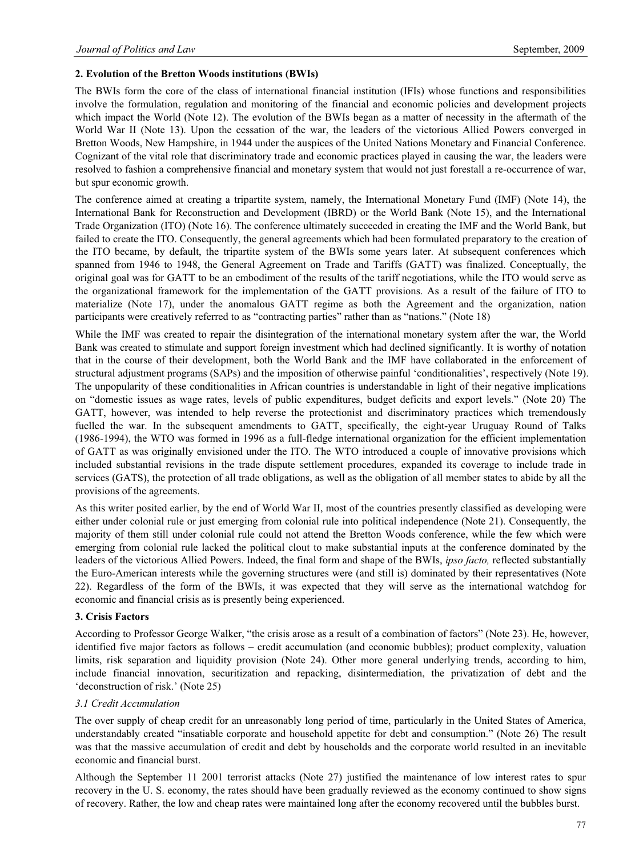#### **2. Evolution of the Bretton Woods institutions (BWIs)**

The BWIs form the core of the class of international financial institution (IFIs) whose functions and responsibilities involve the formulation, regulation and monitoring of the financial and economic policies and development projects which impact the World (Note 12). The evolution of the BWIs began as a matter of necessity in the aftermath of the World War II (Note 13). Upon the cessation of the war, the leaders of the victorious Allied Powers converged in Bretton Woods, New Hampshire, in 1944 under the auspices of the United Nations Monetary and Financial Conference. Cognizant of the vital role that discriminatory trade and economic practices played in causing the war, the leaders were resolved to fashion a comprehensive financial and monetary system that would not just forestall a re-occurrence of war, but spur economic growth.

The conference aimed at creating a tripartite system, namely, the International Monetary Fund (IMF) (Note 14), the International Bank for Reconstruction and Development (IBRD) or the World Bank (Note 15), and the International Trade Organization (ITO) (Note 16). The conference ultimately succeeded in creating the IMF and the World Bank, but failed to create the ITO. Consequently, the general agreements which had been formulated preparatory to the creation of the ITO became, by default, the tripartite system of the BWIs some years later. At subsequent conferences which spanned from 1946 to 1948, the General Agreement on Trade and Tariffs (GATT) was finalized. Conceptually, the original goal was for GATT to be an embodiment of the results of the tariff negotiations, while the ITO would serve as the organizational framework for the implementation of the GATT provisions. As a result of the failure of ITO to materialize (Note 17), under the anomalous GATT regime as both the Agreement and the organization, nation participants were creatively referred to as "contracting parties" rather than as "nations." (Note 18)

While the IMF was created to repair the disintegration of the international monetary system after the war, the World Bank was created to stimulate and support foreign investment which had declined significantly. It is worthy of notation that in the course of their development, both the World Bank and the IMF have collaborated in the enforcement of structural adjustment programs (SAPs) and the imposition of otherwise painful 'conditionalities', respectively (Note 19). The unpopularity of these conditionalities in African countries is understandable in light of their negative implications on "domestic issues as wage rates, levels of public expenditures, budget deficits and export levels." (Note 20) The GATT, however, was intended to help reverse the protectionist and discriminatory practices which tremendously fuelled the war. In the subsequent amendments to GATT, specifically, the eight-year Uruguay Round of Talks (1986-1994), the WTO was formed in 1996 as a full-fledge international organization for the efficient implementation of GATT as was originally envisioned under the ITO. The WTO introduced a couple of innovative provisions which included substantial revisions in the trade dispute settlement procedures, expanded its coverage to include trade in services (GATS), the protection of all trade obligations, as well as the obligation of all member states to abide by all the provisions of the agreements.

As this writer posited earlier, by the end of World War II, most of the countries presently classified as developing were either under colonial rule or just emerging from colonial rule into political independence (Note 21). Consequently, the majority of them still under colonial rule could not attend the Bretton Woods conference, while the few which were emerging from colonial rule lacked the political clout to make substantial inputs at the conference dominated by the leaders of the victorious Allied Powers. Indeed, the final form and shape of the BWIs, *ipso facto,* reflected substantially the Euro-American interests while the governing structures were (and still is) dominated by their representatives (Note 22). Regardless of the form of the BWIs, it was expected that they will serve as the international watchdog for economic and financial crisis as is presently being experienced.

#### **3. Crisis Factors**

According to Professor George Walker, "the crisis arose as a result of a combination of factors" (Note 23). He, however, identified five major factors as follows – credit accumulation (and economic bubbles); product complexity, valuation limits, risk separation and liquidity provision (Note 24). Other more general underlying trends, according to him, include financial innovation, securitization and repacking, disintermediation, the privatization of debt and the 'deconstruction of risk.' (Note 25)

#### *3.1 Credit Accumulation*

The over supply of cheap credit for an unreasonably long period of time, particularly in the United States of America, understandably created "insatiable corporate and household appetite for debt and consumption." (Note 26) The result was that the massive accumulation of credit and debt by households and the corporate world resulted in an inevitable economic and financial burst.

Although the September 11 2001 terrorist attacks (Note 27) justified the maintenance of low interest rates to spur recovery in the U. S. economy, the rates should have been gradually reviewed as the economy continued to show signs of recovery. Rather, the low and cheap rates were maintained long after the economy recovered until the bubbles burst.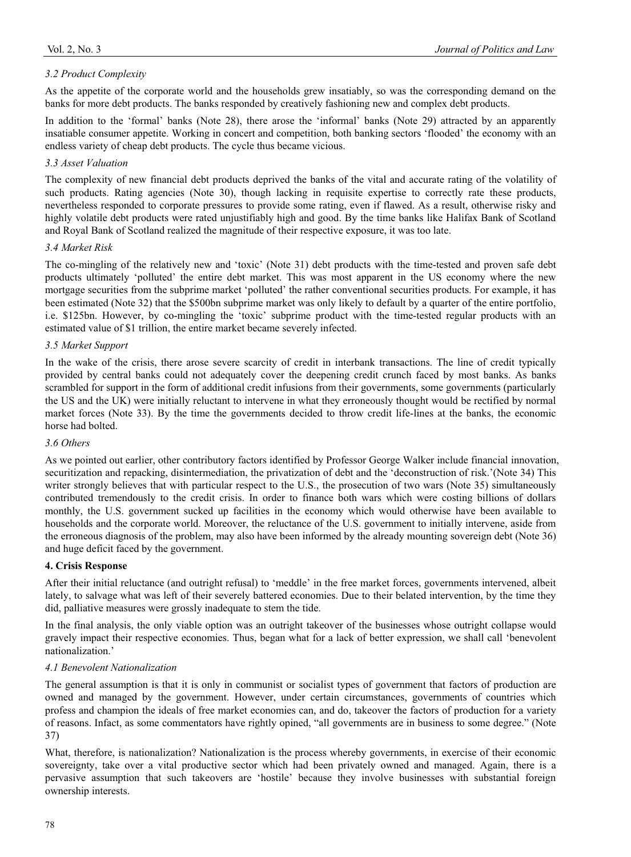As the appetite of the corporate world and the households grew insatiably, so was the corresponding demand on the banks for more debt products. The banks responded by creatively fashioning new and complex debt products.

In addition to the 'formal' banks (Note 28), there arose the 'informal' banks (Note 29) attracted by an apparently insatiable consumer appetite. Working in concert and competition, both banking sectors 'flooded' the economy with an endless variety of cheap debt products. The cycle thus became vicious.

# *3.3 Asset Valuation*

The complexity of new financial debt products deprived the banks of the vital and accurate rating of the volatility of such products. Rating agencies (Note 30), though lacking in requisite expertise to correctly rate these products, nevertheless responded to corporate pressures to provide some rating, even if flawed. As a result, otherwise risky and highly volatile debt products were rated unjustifiably high and good. By the time banks like Halifax Bank of Scotland and Royal Bank of Scotland realized the magnitude of their respective exposure, it was too late.

# *3.4 Market Risk*

The co-mingling of the relatively new and 'toxic' (Note 31) debt products with the time-tested and proven safe debt products ultimately 'polluted' the entire debt market. This was most apparent in the US economy where the new mortgage securities from the subprime market 'polluted' the rather conventional securities products. For example, it has been estimated (Note 32) that the \$500bn subprime market was only likely to default by a quarter of the entire portfolio, i.e. \$125bn. However, by co-mingling the 'toxic' subprime product with the time-tested regular products with an estimated value of \$1 trillion, the entire market became severely infected.

# *3.5 Market Support*

In the wake of the crisis, there arose severe scarcity of credit in interbank transactions. The line of credit typically provided by central banks could not adequately cover the deepening credit crunch faced by most banks. As banks scrambled for support in the form of additional credit infusions from their governments, some governments (particularly the US and the UK) were initially reluctant to intervene in what they erroneously thought would be rectified by normal market forces (Note 33). By the time the governments decided to throw credit life-lines at the banks, the economic horse had bolted.

# *3.6 Others*

As we pointed out earlier, other contributory factors identified by Professor George Walker include financial innovation, securitization and repacking, disintermediation, the privatization of debt and the 'deconstruction of risk.'(Note 34) This writer strongly believes that with particular respect to the U.S., the prosecution of two wars (Note 35) simultaneously contributed tremendously to the credit crisis. In order to finance both wars which were costing billions of dollars monthly, the U.S. government sucked up facilities in the economy which would otherwise have been available to households and the corporate world. Moreover, the reluctance of the U.S. government to initially intervene, aside from the erroneous diagnosis of the problem, may also have been informed by the already mounting sovereign debt (Note 36) and huge deficit faced by the government.

# **4. Crisis Response**

After their initial reluctance (and outright refusal) to 'meddle' in the free market forces, governments intervened, albeit lately, to salvage what was left of their severely battered economies. Due to their belated intervention, by the time they did, palliative measures were grossly inadequate to stem the tide.

In the final analysis, the only viable option was an outright takeover of the businesses whose outright collapse would gravely impact their respective economies. Thus, began what for a lack of better expression, we shall call 'benevolent nationalization.'

# *4.1 Benevolent Nationalization*

The general assumption is that it is only in communist or socialist types of government that factors of production are owned and managed by the government. However, under certain circumstances, governments of countries which profess and champion the ideals of free market economies can, and do, takeover the factors of production for a variety of reasons. Infact, as some commentators have rightly opined, "all governments are in business to some degree." (Note 37)

What, therefore, is nationalization? Nationalization is the process whereby governments, in exercise of their economic sovereignty, take over a vital productive sector which had been privately owned and managed. Again, there is a pervasive assumption that such takeovers are 'hostile' because they involve businesses with substantial foreign ownership interests.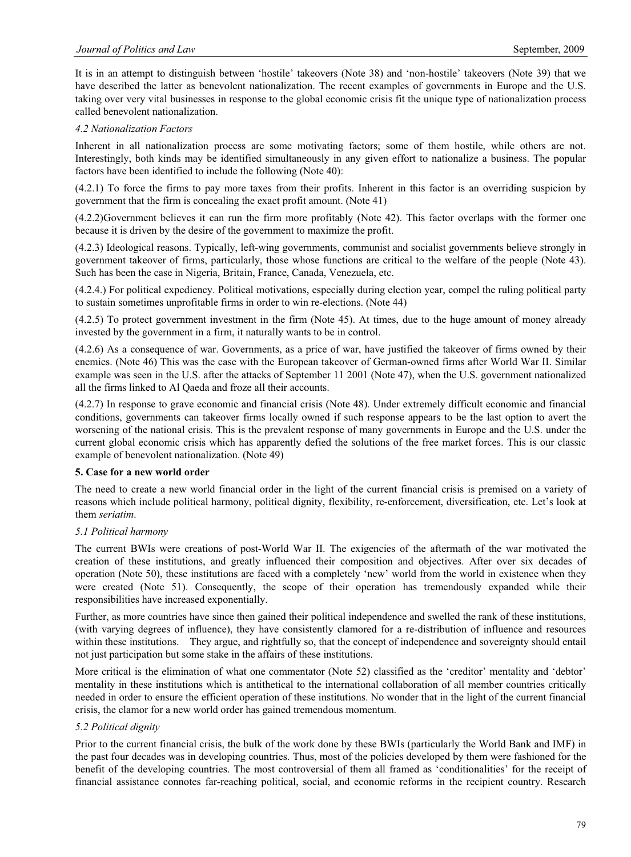It is in an attempt to distinguish between 'hostile' takeovers (Note 38) and 'non-hostile' takeovers (Note 39) that we have described the latter as benevolent nationalization. The recent examples of governments in Europe and the U.S. taking over very vital businesses in response to the global economic crisis fit the unique type of nationalization process called benevolent nationalization.

#### *4.2 Nationalization Factors*

Inherent in all nationalization process are some motivating factors; some of them hostile, while others are not. Interestingly, both kinds may be identified simultaneously in any given effort to nationalize a business. The popular factors have been identified to include the following (Note 40):

(4.2.1) To force the firms to pay more taxes from their profits. Inherent in this factor is an overriding suspicion by government that the firm is concealing the exact profit amount. (Note 41)

(4.2.2)Government believes it can run the firm more profitably (Note 42). This factor overlaps with the former one because it is driven by the desire of the government to maximize the profit.

(4.2.3) Ideological reasons. Typically, left-wing governments, communist and socialist governments believe strongly in government takeover of firms, particularly, those whose functions are critical to the welfare of the people (Note 43). Such has been the case in Nigeria, Britain, France, Canada, Venezuela, etc.

(4.2.4.) For political expediency. Political motivations, especially during election year, compel the ruling political party to sustain sometimes unprofitable firms in order to win re-elections. (Note 44)

(4.2.5) To protect government investment in the firm (Note 45). At times, due to the huge amount of money already invested by the government in a firm, it naturally wants to be in control.

(4.2.6) As a consequence of war. Governments, as a price of war, have justified the takeover of firms owned by their enemies. (Note 46) This was the case with the European takeover of German-owned firms after World War II. Similar example was seen in the U.S. after the attacks of September 11 2001 (Note 47), when the U.S. government nationalized all the firms linked to Al Qaeda and froze all their accounts.

(4.2.7) In response to grave economic and financial crisis (Note 48). Under extremely difficult economic and financial conditions, governments can takeover firms locally owned if such response appears to be the last option to avert the worsening of the national crisis. This is the prevalent response of many governments in Europe and the U.S. under the current global economic crisis which has apparently defied the solutions of the free market forces. This is our classic example of benevolent nationalization. (Note 49)

# **5. Case for a new world order**

The need to create a new world financial order in the light of the current financial crisis is premised on a variety of reasons which include political harmony, political dignity, flexibility, re-enforcement, diversification, etc. Let's look at them *seriatim*.

# *5.1 Political harmony*

The current BWIs were creations of post-World War II. The exigencies of the aftermath of the war motivated the creation of these institutions, and greatly influenced their composition and objectives. After over six decades of operation (Note 50), these institutions are faced with a completely 'new' world from the world in existence when they were created (Note 51). Consequently, the scope of their operation has tremendously expanded while their responsibilities have increased exponentially.

Further, as more countries have since then gained their political independence and swelled the rank of these institutions, (with varying degrees of influence), they have consistently clamored for a re-distribution of influence and resources within these institutions. They argue, and rightfully so, that the concept of independence and sovereignty should entail not just participation but some stake in the affairs of these institutions.

More critical is the elimination of what one commentator (Note 52) classified as the 'creditor' mentality and 'debtor' mentality in these institutions which is antithetical to the international collaboration of all member countries critically needed in order to ensure the efficient operation of these institutions. No wonder that in the light of the current financial crisis, the clamor for a new world order has gained tremendous momentum.

# *5.2 Political dignity*

Prior to the current financial crisis, the bulk of the work done by these BWIs (particularly the World Bank and IMF) in the past four decades was in developing countries. Thus, most of the policies developed by them were fashioned for the benefit of the developing countries. The most controversial of them all framed as 'conditionalities' for the receipt of financial assistance connotes far-reaching political, social, and economic reforms in the recipient country. Research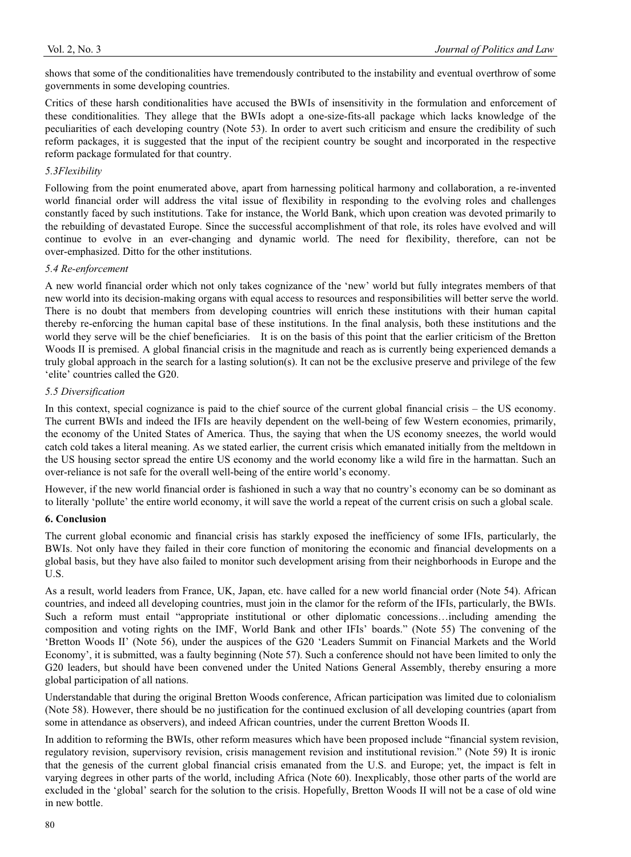shows that some of the conditionalities have tremendously contributed to the instability and eventual overthrow of some governments in some developing countries.

Critics of these harsh conditionalities have accused the BWIs of insensitivity in the formulation and enforcement of these conditionalities. They allege that the BWIs adopt a one-size-fits-all package which lacks knowledge of the peculiarities of each developing country (Note 53). In order to avert such criticism and ensure the credibility of such reform packages, it is suggested that the input of the recipient country be sought and incorporated in the respective reform package formulated for that country.

#### *5.3Flexibility*

Following from the point enumerated above, apart from harnessing political harmony and collaboration, a re-invented world financial order will address the vital issue of flexibility in responding to the evolving roles and challenges constantly faced by such institutions. Take for instance, the World Bank, which upon creation was devoted primarily to the rebuilding of devastated Europe. Since the successful accomplishment of that role, its roles have evolved and will continue to evolve in an ever-changing and dynamic world. The need for flexibility, therefore, can not be over-emphasized. Ditto for the other institutions.

#### *5.4 Re-enforcement*

A new world financial order which not only takes cognizance of the 'new' world but fully integrates members of that new world into its decision-making organs with equal access to resources and responsibilities will better serve the world. There is no doubt that members from developing countries will enrich these institutions with their human capital thereby re-enforcing the human capital base of these institutions. In the final analysis, both these institutions and the world they serve will be the chief beneficiaries. It is on the basis of this point that the earlier criticism of the Bretton Woods II is premised. A global financial crisis in the magnitude and reach as is currently being experienced demands a truly global approach in the search for a lasting solution(s). It can not be the exclusive preserve and privilege of the few 'elite' countries called the G20.

### *5.5 Diversification*

In this context, special cognizance is paid to the chief source of the current global financial crisis – the US economy. The current BWIs and indeed the IFIs are heavily dependent on the well-being of few Western economies, primarily, the economy of the United States of America. Thus, the saying that when the US economy sneezes, the world would catch cold takes a literal meaning. As we stated earlier, the current crisis which emanated initially from the meltdown in the US housing sector spread the entire US economy and the world economy like a wild fire in the harmattan. Such an over-reliance is not safe for the overall well-being of the entire world's economy.

However, if the new world financial order is fashioned in such a way that no country's economy can be so dominant as to literally 'pollute' the entire world economy, it will save the world a repeat of the current crisis on such a global scale.

#### **6. Conclusion**

The current global economic and financial crisis has starkly exposed the inefficiency of some IFIs, particularly, the BWIs. Not only have they failed in their core function of monitoring the economic and financial developments on a global basis, but they have also failed to monitor such development arising from their neighborhoods in Europe and the U.S.

As a result, world leaders from France, UK, Japan, etc. have called for a new world financial order (Note 54). African countries, and indeed all developing countries, must join in the clamor for the reform of the IFIs, particularly, the BWIs. Such a reform must entail "appropriate institutional or other diplomatic concessions…including amending the composition and voting rights on the IMF, World Bank and other IFIs' boards." (Note 55) The convening of the 'Bretton Woods II' (Note 56), under the auspices of the G20 'Leaders Summit on Financial Markets and the World Economy', it is submitted, was a faulty beginning (Note 57). Such a conference should not have been limited to only the G20 leaders, but should have been convened under the United Nations General Assembly, thereby ensuring a more global participation of all nations.

Understandable that during the original Bretton Woods conference, African participation was limited due to colonialism (Note 58). However, there should be no justification for the continued exclusion of all developing countries (apart from some in attendance as observers), and indeed African countries, under the current Bretton Woods II.

In addition to reforming the BWIs, other reform measures which have been proposed include "financial system revision, regulatory revision, supervisory revision, crisis management revision and institutional revision." (Note 59) It is ironic that the genesis of the current global financial crisis emanated from the U.S. and Europe; yet, the impact is felt in varying degrees in other parts of the world, including Africa (Note 60). Inexplicably, those other parts of the world are excluded in the 'global' search for the solution to the crisis. Hopefully, Bretton Woods II will not be a case of old wine in new bottle.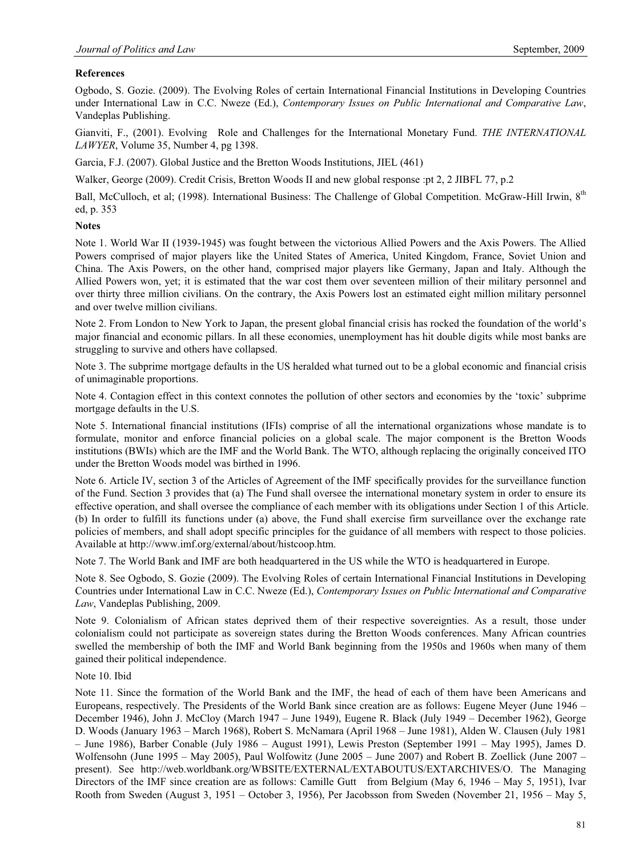# **References**

Ogbodo, S. Gozie. (2009). The Evolving Roles of certain International Financial Institutions in Developing Countries under International Law in C.C. Nweze (Ed.), *Contemporary Issues on Public International and Comparative Law*, Vandeplas Publishing.

Gianviti, F., (2001). Evolving Role and Challenges for the International Monetary Fund. *THE INTERNATIONAL LAWYER*, Volume 35, Number 4, pg 1398.

Garcia, F.J. (2007). Global Justice and the Bretton Woods Institutions, JIEL (461)

Walker, George (2009). Credit Crisis, Bretton Woods II and new global response :pt 2, 2 JIBFL 77, p.2

Ball, McCulloch, et al; (1998). International Business: The Challenge of Global Competition. McGraw-Hill Irwin, 8<sup>th</sup> ed, p. 353

#### **Notes**

Note 1. World War II (1939-1945) was fought between the victorious Allied Powers and the Axis Powers. The Allied Powers comprised of major players like the United States of America, United Kingdom, France, Soviet Union and China. The Axis Powers, on the other hand, comprised major players like Germany, Japan and Italy. Although the Allied Powers won, yet; it is estimated that the war cost them over seventeen million of their military personnel and over thirty three million civilians. On the contrary, the Axis Powers lost an estimated eight million military personnel and over twelve million civilians.

Note 2. From London to New York to Japan, the present global financial crisis has rocked the foundation of the world's major financial and economic pillars. In all these economies, unemployment has hit double digits while most banks are struggling to survive and others have collapsed.

Note 3. The subprime mortgage defaults in the US heralded what turned out to be a global economic and financial crisis of unimaginable proportions.

Note 4. Contagion effect in this context connotes the pollution of other sectors and economies by the 'toxic' subprime mortgage defaults in the U.S.

Note 5. International financial institutions (IFIs) comprise of all the international organizations whose mandate is to formulate, monitor and enforce financial policies on a global scale. The major component is the Bretton Woods institutions (BWIs) which are the IMF and the World Bank. The WTO, although replacing the originally conceived ITO under the Bretton Woods model was birthed in 1996.

Note 6. Article IV, section 3 of the Articles of Agreement of the IMF specifically provides for the surveillance function of the Fund. Section 3 provides that (a) The Fund shall oversee the international monetary system in order to ensure its effective operation, and shall oversee the compliance of each member with its obligations under Section 1 of this Article. (b) In order to fulfill its functions under (a) above, the Fund shall exercise firm surveillance over the exchange rate policies of members, and shall adopt specific principles for the guidance of all members with respect to those policies. Available at http://www.imf.org/external/about/histcoop.htm.

Note 7. The World Bank and IMF are both headquartered in the US while the WTO is headquartered in Europe.

Note 8. See Ogbodo, S. Gozie (2009). The Evolving Roles of certain International Financial Institutions in Developing Countries under International Law in C.C. Nweze (Ed.), *Contemporary Issues on Public International and Comparative Law*, Vandeplas Publishing, 2009.

Note 9. Colonialism of African states deprived them of their respective sovereignties. As a result, those under colonialism could not participate as sovereign states during the Bretton Woods conferences. Many African countries swelled the membership of both the IMF and World Bank beginning from the 1950s and 1960s when many of them gained their political independence.

#### Note 10. Ibid

Note 11. Since the formation of the World Bank and the IMF, the head of each of them have been Americans and Europeans, respectively. The Presidents of the World Bank since creation are as follows: Eugene Meyer (June 1946 – December 1946), John J. McCloy (March 1947 – June 1949), Eugene R. Black (July 1949 – December 1962), George D. Woods (January 1963 – March 1968), Robert S. McNamara (April 1968 – June 1981), Alden W. Clausen (July 1981 – June 1986), Barber Conable (July 1986 – August 1991), Lewis Preston (September 1991 – May 1995), James D. Wolfensohn (June 1995 – May 2005), Paul Wolfowitz (June 2005 – June 2007) and Robert B. Zoellick (June 2007 – present). See http://web.worldbank.org/WBSITE/EXTERNAL/EXTABOUTUS/EXTARCHIVES/O. The Managing Directors of the IMF since creation are as follows: Camille Gutt from Belgium (May 6, 1946 – May 5, 1951), Ivar Rooth from Sweden (August 3, 1951 – October 3, 1956), Per Jacobsson from Sweden (November 21, 1956 – May 5,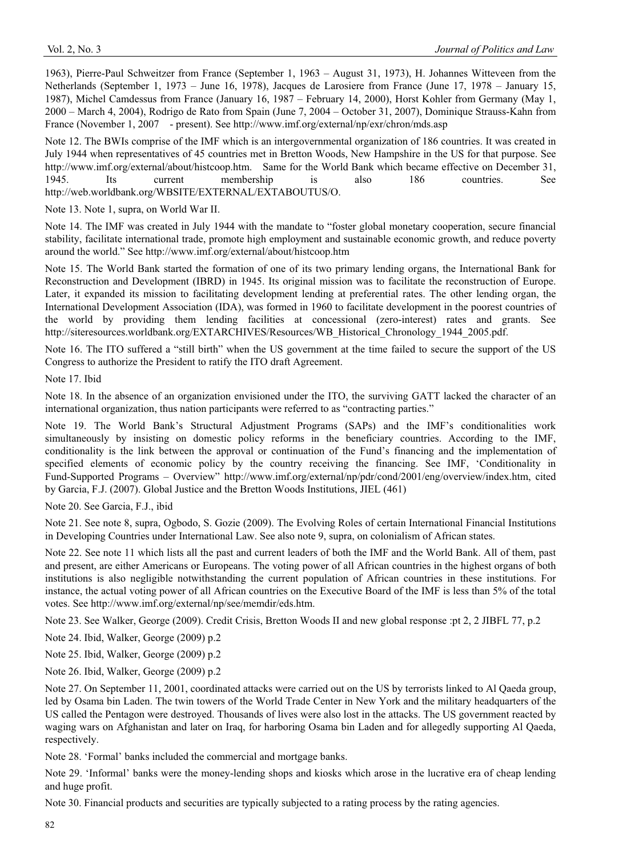1963), Pierre-Paul Schweitzer from France (September 1, 1963 – August 31, 1973), H. Johannes Witteveen from the Netherlands (September 1, 1973 – June 16, 1978), Jacques de Larosiere from France (June 17, 1978 – January 15, 1987), Michel Camdessus from France (January 16, 1987 – February 14, 2000), Horst Kohler from Germany (May 1, 2000 – March 4, 2004), Rodrigo de Rato from Spain (June 7, 2004 – October 31, 2007), Dominique Strauss-Kahn from France (November 1, 2007 - present). See http://www.imf.org/external/np/exr/chron/mds.asp

Note 12. The BWIs comprise of the IMF which is an intergovernmental organization of 186 countries. It was created in July 1944 when representatives of 45 countries met in Bretton Woods, New Hampshire in the US for that purpose. See http://www.imf.org/external/about/histcoop.htm. Same for the World Bank which became effective on December 31, 1945. Its current membership is also 186 countries. See http://web.worldbank.org/WBSITE/EXTERNAL/EXTABOUTUS/O.

Note 13. Note 1, supra, on World War II.

Note 14. The IMF was created in July 1944 with the mandate to "foster global monetary cooperation, secure financial stability, facilitate international trade, promote high employment and sustainable economic growth, and reduce poverty around the world." See http://www.imf.org/external/about/histcoop.htm

Note 15. The World Bank started the formation of one of its two primary lending organs, the International Bank for Reconstruction and Development (IBRD) in 1945. Its original mission was to facilitate the reconstruction of Europe. Later, it expanded its mission to facilitating development lending at preferential rates. The other lending organ, the International Development Association (IDA), was formed in 1960 to facilitate development in the poorest countries of the world by providing them lending facilities at concessional (zero-interest) rates and grants. See http://siteresources.worldbank.org/EXTARCHIVES/Resources/WB\_Historical\_Chronology\_1944\_2005.pdf.

Note 16. The ITO suffered a "still birth" when the US government at the time failed to secure the support of the US Congress to authorize the President to ratify the ITO draft Agreement.

Note 17. Ibid

Note 18. In the absence of an organization envisioned under the ITO, the surviving GATT lacked the character of an international organization, thus nation participants were referred to as "contracting parties."

Note 19. The World Bank's Structural Adjustment Programs (SAPs) and the IMF's conditionalities work simultaneously by insisting on domestic policy reforms in the beneficiary countries. According to the IMF, conditionality is the link between the approval or continuation of the Fund's financing and the implementation of specified elements of economic policy by the country receiving the financing. See IMF, 'Conditionality in Fund-Supported Programs – Overview" http://www.imf.org/external/np/pdr/cond/2001/eng/overview/index.htm, cited by Garcia, F.J. (2007). Global Justice and the Bretton Woods Institutions, JIEL (461)

Note 20. See Garcia, F.J., ibid

Note 21. See note 8, supra, Ogbodo, S. Gozie (2009). The Evolving Roles of certain International Financial Institutions in Developing Countries under International Law. See also note 9, supra, on colonialism of African states.

Note 22. See note 11 which lists all the past and current leaders of both the IMF and the World Bank. All of them, past and present, are either Americans or Europeans. The voting power of all African countries in the highest organs of both institutions is also negligible notwithstanding the current population of African countries in these institutions. For instance, the actual voting power of all African countries on the Executive Board of the IMF is less than 5% of the total votes. See http://www.imf.org/external/np/see/memdir/eds.htm.

Note 23. See Walker, George (2009). Credit Crisis, Bretton Woods II and new global response :pt 2, 2 JIBFL 77, p.2

Note 24. Ibid, Walker, George (2009) p.2

Note 25. Ibid, Walker, George (2009) p.2

Note 26. Ibid, Walker, George (2009) p.2

Note 27. On September 11, 2001, coordinated attacks were carried out on the US by terrorists linked to Al Qaeda group, led by Osama bin Laden. The twin towers of the World Trade Center in New York and the military headquarters of the US called the Pentagon were destroyed. Thousands of lives were also lost in the attacks. The US government reacted by waging wars on Afghanistan and later on Iraq, for harboring Osama bin Laden and for allegedly supporting Al Qaeda, respectively.

Note 28. 'Formal' banks included the commercial and mortgage banks.

Note 29. 'Informal' banks were the money-lending shops and kiosks which arose in the lucrative era of cheap lending and huge profit.

Note 30. Financial products and securities are typically subjected to a rating process by the rating agencies.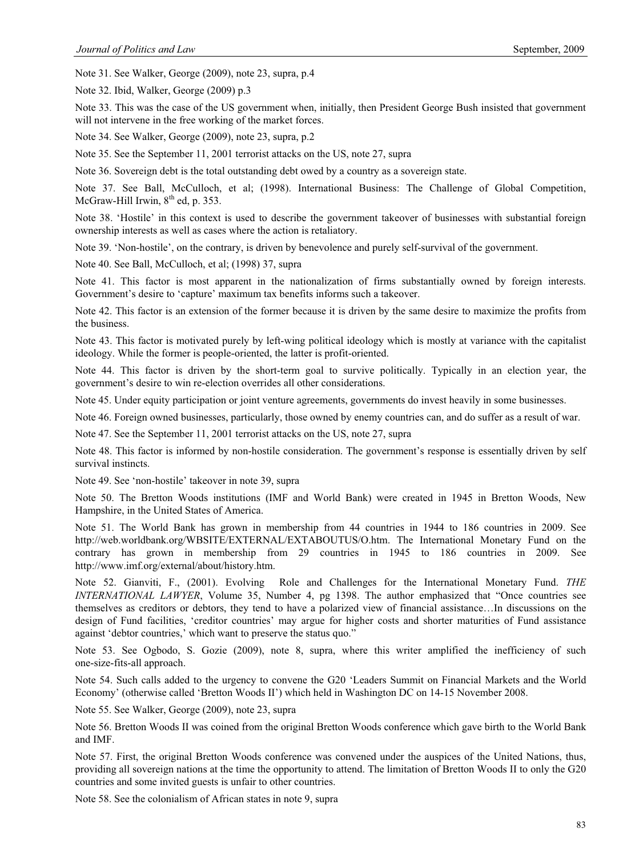Note 31. See Walker, George (2009), note 23, supra, p.4

Note 32. Ibid, Walker, George (2009) p.3

Note 33. This was the case of the US government when, initially, then President George Bush insisted that government will not intervene in the free working of the market forces.

Note 34. See Walker, George (2009), note 23, supra, p.2

Note 35. See the September 11, 2001 terrorist attacks on the US, note 27, supra

Note 36. Sovereign debt is the total outstanding debt owed by a country as a sovereign state.

Note 37. See Ball, McCulloch, et al; (1998). International Business: The Challenge of Global Competition, McGraw-Hill Irwin,  $8<sup>th</sup>$  ed, p. 353.

Note 38. 'Hostile' in this context is used to describe the government takeover of businesses with substantial foreign ownership interests as well as cases where the action is retaliatory.

Note 39. 'Non-hostile', on the contrary, is driven by benevolence and purely self-survival of the government.

Note 40. See Ball, McCulloch, et al; (1998) 37, supra

Note 41. This factor is most apparent in the nationalization of firms substantially owned by foreign interests. Government's desire to 'capture' maximum tax benefits informs such a takeover.

Note 42. This factor is an extension of the former because it is driven by the same desire to maximize the profits from the business.

Note 43. This factor is motivated purely by left-wing political ideology which is mostly at variance with the capitalist ideology. While the former is people-oriented, the latter is profit-oriented.

Note 44. This factor is driven by the short-term goal to survive politically. Typically in an election year, the government's desire to win re-election overrides all other considerations.

Note 45. Under equity participation or joint venture agreements, governments do invest heavily in some businesses.

Note 46. Foreign owned businesses, particularly, those owned by enemy countries can, and do suffer as a result of war.

Note 47. See the September 11, 2001 terrorist attacks on the US, note 27, supra

Note 48. This factor is informed by non-hostile consideration. The government's response is essentially driven by self survival instincts.

Note 49. See 'non-hostile' takeover in note 39, supra

Note 50. The Bretton Woods institutions (IMF and World Bank) were created in 1945 in Bretton Woods, New Hampshire, in the United States of America.

Note 51. The World Bank has grown in membership from 44 countries in 1944 to 186 countries in 2009. See http://web.worldbank.org/WBSITE/EXTERNAL/EXTABOUTUS/O.htm. The International Monetary Fund on the contrary has grown in membership from 29 countries in 1945 to 186 countries in 2009. See http://www.imf.org/external/about/history.htm.

Note 52. Gianviti, F., (2001). Evolving Role and Challenges for the International Monetary Fund. *THE INTERNATIONAL LAWYER*, Volume 35, Number 4, pg 1398. The author emphasized that "Once countries see themselves as creditors or debtors, they tend to have a polarized view of financial assistance…In discussions on the design of Fund facilities, 'creditor countries' may argue for higher costs and shorter maturities of Fund assistance against 'debtor countries,' which want to preserve the status quo."

Note 53. See Ogbodo, S. Gozie (2009), note 8, supra, where this writer amplified the inefficiency of such one-size-fits-all approach.

Note 54. Such calls added to the urgency to convene the G20 'Leaders Summit on Financial Markets and the World Economy' (otherwise called 'Bretton Woods II') which held in Washington DC on 14-15 November 2008.

Note 55. See Walker, George (2009), note 23, supra

Note 56. Bretton Woods II was coined from the original Bretton Woods conference which gave birth to the World Bank and IMF.

Note 57. First, the original Bretton Woods conference was convened under the auspices of the United Nations, thus, providing all sovereign nations at the time the opportunity to attend. The limitation of Bretton Woods II to only the G20 countries and some invited guests is unfair to other countries.

Note 58. See the colonialism of African states in note 9, supra